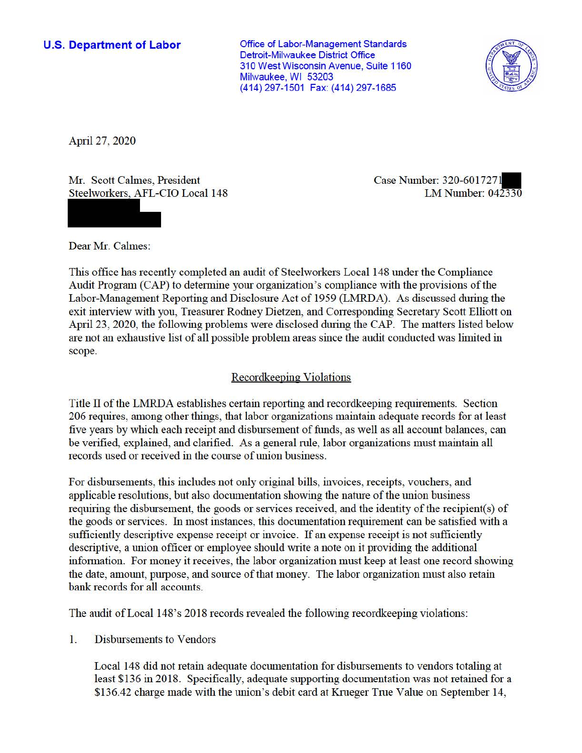### **U.S. Department of Labor**

Office of Labor-Management Standards Detroit-Milwaukee District Office 310 West Wisconsin Avenue, Suite 1160 Milwaukee, WI 53203 (414) 297-1501 Fax: (414) 297-1685



April 27, 2020

Mr. Scott Calmes, President Steelworkers, AFL-CIO Local 148 Case Number: 320-6017271 LM Number: 042330

Dear Mr. Calmes:

This office has recently completed an audit of Steelworkers Local 148 under the Compliance Audit Program (CAP) to determine your organization's compliance with the provisions of the Labor-Management Reporting and Disclosure Act of 1959 (LMRDA). As discussed during the exit interview with you, Treasurer Rodney Dietzen, and Corresponding Secretary Scott Elliott on April 23, 2020, the following problems were disclosed during the CAP. The matters listed below are not an exhaustive list of all possible problem areas since the audit conducted was limited in scope.

# Recordkeeping Violations

Title II of the LMRDA establishes certain reporting and recordkeeping requirements. Section 206 requires, among other things, that labor organizations maintain adequate records for at least five years by which each receipt and disbursement of funds, as well as all account balances, can be verified, explained, and clarified. As a general rule, labor organizations must maintain all records used or received in the course of union business.

For disbursements, this includes not only original bills, invoices, receipts, vouchers, and applicable resolutions, but also documentation showing the nature of the union business requiring the disbursement, the goods or services received, and the identity of the recipient(s) of the goods or services. In most instances, this documentation requirement can be satisfied with a sufficiently descriptive expense receipt or invoice. If an expense receipt is not sufficiently descriptive, a union officer or employee should write a note on it providing the additional information. For money it receives, the labor organization must keep at least one record showing the date, amount, purpose, and source of that money. The labor organization must also retain bank records for all accounts.

The audit ofLocal 148's 2018 records revealed the following recordkeeping violations:

1. Disbursements to Vendors

Local 148 did not retain adequate documentation for disbursements to vendors totaling at least \$136 in 2018. Specifically, adequate supporting documentation was not retained for a \$136.42 charge made with the union's debit card at Krueger True Value on September 14,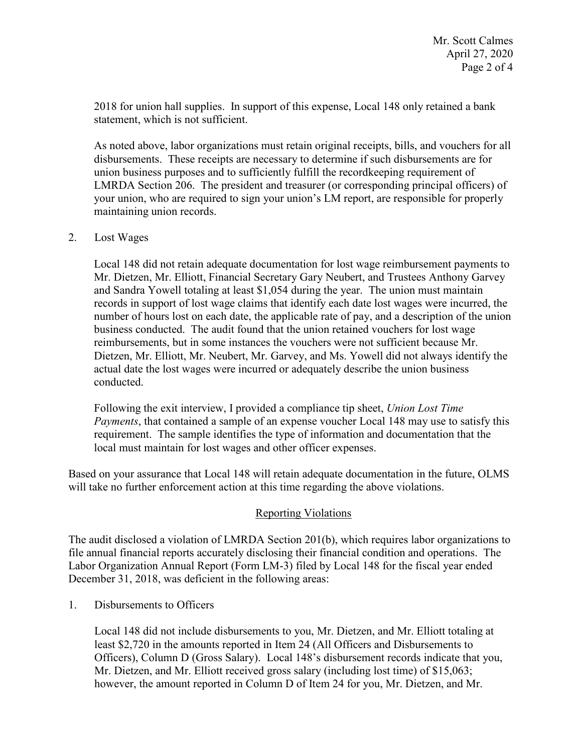2018 for union hall supplies. In support of this expense, Local 148 only retained a bank statement, which is not sufficient.

As noted above, labor organizations must retain original receipts, bills, and vouchers for all disbursements. These receipts are necessary to determine if such disbursements are for union business purposes and to sufficiently fulfill the recordkeeping requirement of LMRDA Section 206. The president and treasurer (or corresponding principal officers) of your union, who are required to sign your union's LM report, are responsible for properly maintaining union records.

### 2. Lost Wages

 Mr. Dietzen, Mr. Elliott, Financial Secretary Gary Neubert, and Trustees Anthony Garvey and Sandra Yowell totaling at least \$1,054 during the year. The union must maintain reimbursements, but in some instances the vouchers were not sufficient because Mr. actual date the lost wages were incurred or adequately describe the union business conducted. Local 148 did not retain adequate documentation for lost wage reimbursement payments to records in support of lost wage claims that identify each date lost wages were incurred, the number of hours lost on each date, the applicable rate of pay, and a description of the union business conducted. The audit found that the union retained vouchers for lost wage Dietzen, Mr. Elliott, Mr. Neubert, Mr. Garvey, and Ms. Yowell did not always identify the

Following the exit interview, I provided a compliance tip sheet, *Union Lost Time Payments*, that contained a sample of an expense voucher Local 148 may use to satisfy this requirement. The sample identifies the type of information and documentation that the local must maintain for lost wages and other officer expenses.

 Based on your assurance that Local 148 will retain adequate documentation in the future, OLMS will take no further enforcement action at this time regarding the above violations.

# Reporting Violations

 Labor Organization Annual Report (Form LM-3) filed by Local 148 for the fiscal year ended The audit disclosed a violation of LMRDA Section 201(b), which requires labor organizations to file annual financial reports accurately disclosing their financial condition and operations. The December 31, 2018, was deficient in the following areas:

1. Disbursements to Officers

 Mr. Dietzen, and Mr. Elliott received gross salary (including lost time) of \$15,063; however, the amount reported in Column D of Item 24 for you, Mr. Dietzen, and Mr. Local 148 did not include disbursements to you, Mr. Dietzen, and Mr. Elliott totaling at least \$2,720 in the amounts reported in Item 24 (All Officers and Disbursements to Officers), Column D (Gross Salary). Local 148's disbursement records indicate that you,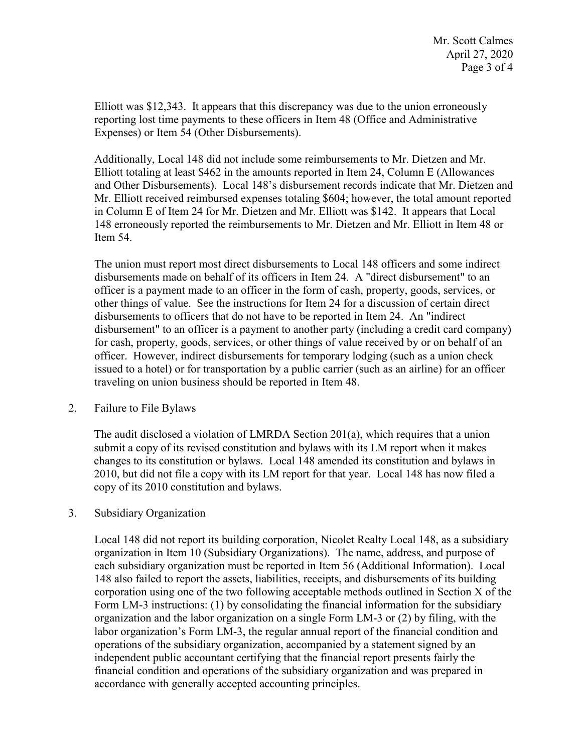Elliott was \$12,343. It appears that this discrepancy was due to the union erroneously reporting lost time payments to these officers in Item 48 (Office and Administrative Expenses) or Item 54 (Other Disbursements).

 in Column E of Item 24 for Mr. Dietzen and Mr. Elliott was \$142. It appears that Local Additionally, Local 148 did not include some reimbursements to Mr. Dietzen and Mr. Elliott totaling at least \$462 in the amounts reported in Item 24, Column E (Allowances and Other Disbursements). Local 148's disbursement records indicate that Mr. Dietzen and Mr. Elliott received reimbursed expenses totaling \$604; however, the total amount reported 148 erroneously reported the reimbursements to Mr. Dietzen and Mr. Elliott in Item 48 or Item 54.

 disbursements made on behalf of its officers in Item 24. A "direct disbursement" to an other things of value. See the instructions for Item 24 for a discussion of certain direct disbursements to officers that do not have to be reported in Item 24. An "indirect officer. However, indirect disbursements for temporary lodging (such as a union check issued to a hotel) or for transportation by a public carrier (such as an airline) for an officer The union must report most direct disbursements to Local 148 officers and some indirect officer is a payment made to an officer in the form of cash, property, goods, services, or disbursement" to an officer is a payment to another party (including a credit card company) for cash, property, goods, services, or other things of value received by or on behalf of an traveling on union business should be reported in Item 48.

#### 2. Failure to File Bylaws

 2010, but did not file a copy with its LM report for that year. Local 148 has now filed a The audit disclosed a violation of LMRDA Section 201(a), which requires that a union submit a copy of its revised constitution and bylaws with its LM report when it makes changes to its constitution or bylaws. Local 148 amended its constitution and bylaws in copy of its 2010 constitution and bylaws.

#### 3. Subsidiary Organization

 each subsidiary organization must be reported in Item 56 (Additional Information). Local 148 also failed to report the assets, liabilities, receipts, and disbursements of its building 148 also failed to report the assets, liabilities, receipts, and disbursements of its building organization and the labor organization on a single Form LM-3 or (2) by filing, with the labor organization's Form LM-3, the regular annual report of the financial condition and accordance with generally accepted accounting principles. Local 148 did not report its building corporation, Nicolet Realty Local 148, as a subsidiary organization in Item 10 (Subsidiary Organizations). The name, address, and purpose of corporation using one of the two following acceptable methods outlined in Section X of the Form LM-3 instructions: (1) by consolidating the financial information for the subsidiary operations of the subsidiary organization, accompanied by a statement signed by an independent public accountant certifying that the financial report presents fairly the financial condition and operations of the subsidiary organization and was prepared in